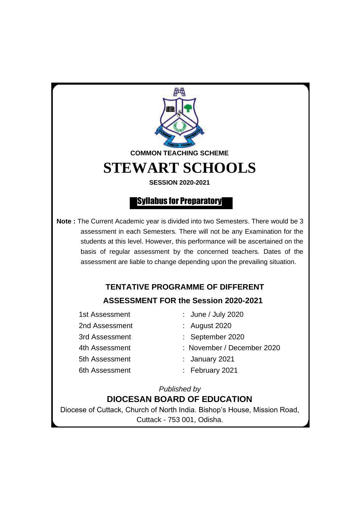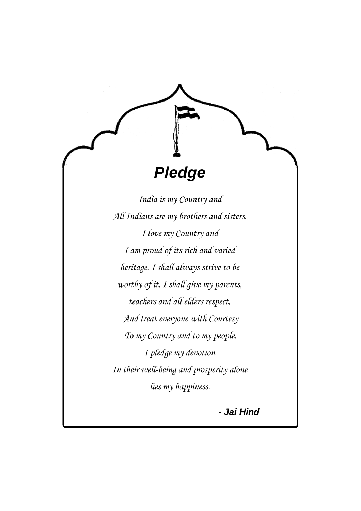*India is my Country and All Indians are my brothers and sisters. I love my Country and I am proud of its rich and varied heritage. I shall always strive to be worthy of it. I shall give my parents, teachers and all elders respect, And treat everyone with Courtesy To my Country and to my people. I pledge my devotion In their well-being and prosperity alone lies my happiness.*

*Pledge*

*- Jai Hind*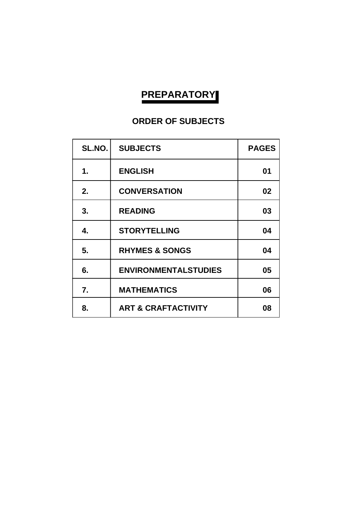# **PREPARATORY**

## **ORDER OF SUBJECTS**

| SL.NO. | <b>SUBJECTS</b>                | <b>PAGES</b> |
|--------|--------------------------------|--------------|
| 1.     | <b>ENGLISH</b>                 | 01           |
| 2.     | <b>CONVERSATION</b>            | 02           |
| 3.     | <b>READING</b>                 | 03           |
| 4.     | <b>STORYTELLING</b>            | 04           |
| 5.     | <b>RHYMES &amp; SONGS</b>      | 04           |
| 6.     | <b>ENVIRONMENTALSTUDIES</b>    | 05           |
| 7.     | <b>MATHEMATICS</b>             | 06           |
| 8.     | <b>ART &amp; CRAFTACTIVITY</b> | 08           |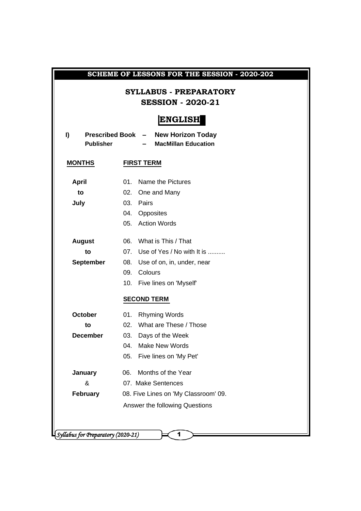| SCHEME OF LESSONS FOR THE SESSION - 2020-202 |                                                                   |  |  |  |
|----------------------------------------------|-------------------------------------------------------------------|--|--|--|
|                                              | <b>SYLLABUS - PREPARATORY</b><br><b>SESSION - 2020-21</b>         |  |  |  |
|                                              | <b>ENGLISH</b>                                                    |  |  |  |
| I)<br><b>Publisher</b>                       | Prescribed Book - New Horizon Today<br><b>MacMillan Education</b> |  |  |  |
| <b>MONTHS</b>                                | <b>FIRST TERM</b>                                                 |  |  |  |
| <b>April</b>                                 | 01. Name the Pictures                                             |  |  |  |
| to                                           | 02. One and Many                                                  |  |  |  |
| July                                         | 03. Pairs                                                         |  |  |  |
|                                              | 04. Opposites                                                     |  |  |  |
|                                              | 05. Action Words                                                  |  |  |  |
| <b>August</b>                                | 06. What is This / That                                           |  |  |  |
| to                                           | 07. Use of Yes / No with It is                                    |  |  |  |
| <b>September</b>                             | 08. Use of on, in, under, near                                    |  |  |  |
|                                              | 09. Colours                                                       |  |  |  |
|                                              | 10. Five lines on 'Myself'                                        |  |  |  |
|                                              | <b>SECOND TERM</b>                                                |  |  |  |
| <b>October</b>                               | 01. Rhyming Words                                                 |  |  |  |
| to                                           | 02. What are These / Those                                        |  |  |  |
| <b>December</b>                              | 03.<br>Days of the Week                                           |  |  |  |
|                                              | <b>Make New Words</b><br>04.                                      |  |  |  |
|                                              | 05.<br>Five lines on 'My Pet'                                     |  |  |  |
| <b>January</b>                               | Months of the Year<br>06.                                         |  |  |  |
| &                                            | 07. Make Sentences                                                |  |  |  |
| <b>February</b>                              | 08. Five Lines on 'My Classroom' 09.                              |  |  |  |
|                                              | Answer the following Questions                                    |  |  |  |
|                                              |                                                                   |  |  |  |
|                                              |                                                                   |  |  |  |
|                                              | Syllabus for Preparatory (2020-21)<br>1                           |  |  |  |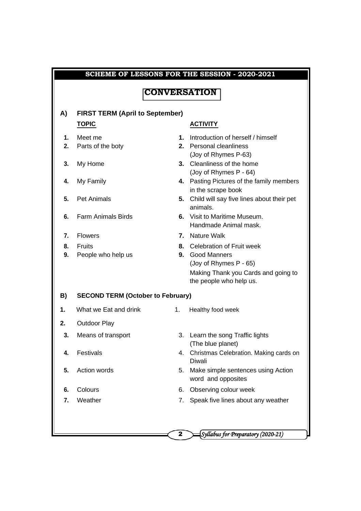|    |                                          |                     | SCHEME OF LESSONS FOR THE SESSION - 2020-2021                   |
|----|------------------------------------------|---------------------|-----------------------------------------------------------------|
|    |                                          | <b>CONVERSATION</b> |                                                                 |
|    |                                          |                     |                                                                 |
| A) | <b>FIRST TERM (April to September)</b>   |                     |                                                                 |
|    | <b>TOPIC</b>                             |                     | <b>ACTIVITY</b>                                                 |
| 1. | Meet me                                  |                     | 1. Introduction of herself / himself                            |
| 2. | Parts of the boty                        |                     | 2. Personal cleanliness<br>(Joy of Rhymes P-63)                 |
| 3. | My Home                                  |                     | 3. Cleanliness of the home<br>(Joy of Rhymes P - 64)            |
| 4. | My Family                                |                     | 4. Pasting Pictures of the family members<br>in the scrape book |
| 5. | <b>Pet Animals</b>                       |                     | 5. Child will say five lines about their pet<br>animals.        |
| 6. | <b>Farm Animals Birds</b>                |                     | 6. Visit to Maritime Museum.<br>Handmade Animal mask.           |
| 7. | <b>Flowers</b>                           |                     | 7. Nature Walk                                                  |
| 8. | <b>Fruits</b>                            |                     | 8. Celebration of Fruit week                                    |
| 9. | People who help us                       |                     | <b>9.</b> Good Manners                                          |
|    |                                          |                     | (Joy of Rhymes P - 65)                                          |
|    |                                          |                     | Making Thank you Cards and going to<br>the people who help us.  |
| B) | <b>SECOND TERM (October to February)</b> |                     |                                                                 |
| 1. | What we Eat and drink                    | 1.                  | Healthy food week                                               |
| 2. | <b>Outdoor Play</b>                      |                     |                                                                 |
| 3. | Means of transport                       |                     | 3. Learn the song Traffic lights<br>(The blue planet)           |
| 4. | Festivals                                | 4.                  | Christmas Celebration. Making cards on<br><b>Diwali</b>         |
| 5. | Action words                             | 5.                  | Make simple sentences using Action<br>word and opposites        |
| 6. | Colours                                  | 6.                  | Observing colour week                                           |
| 7. | Weather                                  | 7.                  | Speak five lines about any weather                              |
|    |                                          |                     |                                                                 |
|    |                                          |                     |                                                                 |
|    |                                          | $\mathbf{2}$        | Syllabus for Preparatory (2020-21)                              |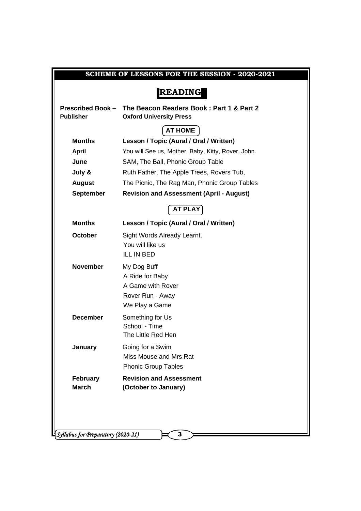|                                    | SCHEME OF LESSONS FOR THE SESSION - 2020-2021                                                |
|------------------------------------|----------------------------------------------------------------------------------------------|
|                                    | <b>READING</b>                                                                               |
| <b>Publisher</b>                   | Prescribed Book - The Beacon Readers Book: Part 1 & Part 2<br><b>Oxford University Press</b> |
|                                    | <b>AT HOME</b>                                                                               |
| <b>Months</b>                      | Lesson / Topic (Aural / Oral / Written)                                                      |
| <b>April</b>                       | You will See us, Mother, Baby, Kitty, Rover, John.                                           |
| June                               | SAM, The Ball, Phonic Group Table                                                            |
| July &                             | Ruth Father, The Apple Trees, Rovers Tub,                                                    |
| <b>August</b>                      | The Picnic, The Rag Man, Phonic Group Tables                                                 |
| <b>September</b>                   | <b>Revision and Assessment (April - August)</b>                                              |
|                                    | <b>AT PLAY</b>                                                                               |
| <b>Months</b>                      | Lesson / Topic (Aural / Oral / Written)                                                      |
| <b>October</b>                     | Sight Words Already Learnt.                                                                  |
|                                    | You will like us                                                                             |
|                                    | <b>ILL IN BED</b>                                                                            |
| <b>November</b>                    | My Dog Buff                                                                                  |
|                                    | A Ride for Baby                                                                              |
|                                    | A Game with Rover                                                                            |
|                                    | Rover Run - Away                                                                             |
|                                    | We Play a Game                                                                               |
| <b>December</b>                    | Something for Us                                                                             |
|                                    | School - Time<br>The Little Red Hen                                                          |
|                                    |                                                                                              |
| January                            | Going for a Swim<br>Miss Mouse and Mrs Rat                                                   |
|                                    | <b>Phonic Group Tables</b>                                                                   |
| <b>February</b>                    | <b>Revision and Assessment</b>                                                               |
| <b>March</b>                       | (October to January)                                                                         |
|                                    |                                                                                              |
|                                    |                                                                                              |
|                                    |                                                                                              |
| Syllabus for Preparatory (2020-21) | 3                                                                                            |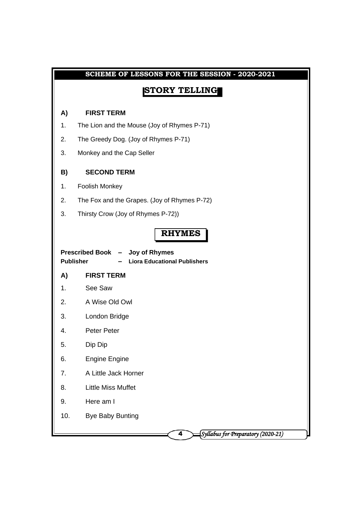| SCHEME OF LESSONS FOR THE SESSION - 2020-2021 |                                                                                            |  |  |  |
|-----------------------------------------------|--------------------------------------------------------------------------------------------|--|--|--|
|                                               | <b>STORY TELLING</b>                                                                       |  |  |  |
| A)                                            | <b>FIRST TERM</b>                                                                          |  |  |  |
| 1.                                            | The Lion and the Mouse (Joy of Rhymes P-71)                                                |  |  |  |
| 2.                                            | The Greedy Dog. (Joy of Rhymes P-71)                                                       |  |  |  |
| 3.                                            | Monkey and the Cap Seller                                                                  |  |  |  |
| B)                                            | <b>SECOND TERM</b>                                                                         |  |  |  |
| 1.                                            | Foolish Monkey                                                                             |  |  |  |
| 2.                                            | The Fox and the Grapes. (Joy of Rhymes P-72)                                               |  |  |  |
| 3.                                            | Thirsty Crow (Joy of Rhymes P-72))                                                         |  |  |  |
|                                               | <b>RHYMES</b>                                                                              |  |  |  |
|                                               | Prescribed Book - Joy of Rhymes<br><b>Publisher</b><br><b>Liora Educational Publishers</b> |  |  |  |
| A)                                            | <b>FIRST TERM</b>                                                                          |  |  |  |
| 1.                                            | See Saw                                                                                    |  |  |  |
| 2.                                            | A Wise Old Owl                                                                             |  |  |  |
| 3.                                            | London Bridge                                                                              |  |  |  |
| 4.                                            | <b>Peter Peter</b>                                                                         |  |  |  |
| 5.                                            | Dip Dip                                                                                    |  |  |  |
| 6.                                            | <b>Engine Engine</b>                                                                       |  |  |  |
| 7.                                            | A Little Jack Horner                                                                       |  |  |  |
| 8.                                            | <b>Little Miss Muffet</b>                                                                  |  |  |  |
| 9.                                            | Here am I                                                                                  |  |  |  |
| 10.                                           | <b>Bye Baby Bunting</b>                                                                    |  |  |  |
|                                               | Syllabus for Preparatory (2020-21)<br>4                                                    |  |  |  |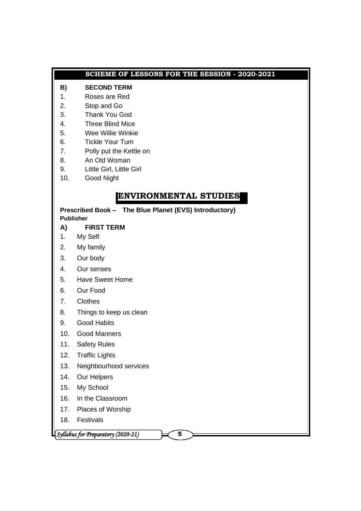#### **SCHEME OF LESSONS FOR THE SESSION - 2020-2021**

#### **B) SECOND TERM**

- 1. Roses are Red
- 2. Stop and Go
- 3. Thank You God
- 4. Three Blind Mice
- 5. Wee Willie Winkie
- 6. Tickle Your Tum
- 7. Polly put the Kettle on
- 8. An Old Woman
- 9. Little Girl, Little Girl
- 10. Good Night

### **ENVIRONMENTAL STUDIES**

**Prescribed Book – The Blue Planet (EVS) Introductory) Publisher**

### **A) FIRST TERM**

- 1. My Self
- 2. My family
- 3. Our body
- 4. Our senses
- 5. Have Sweet Home
- 6. Our Food
- 7. Clothes
- 8. Things to keep us clean
- 9. Good Habits
- 10. Good Manners
- 11. Safety Rules
- 12. Traffic Lights
- 13. Neighbourhood services
- 14. Our Helpers
- 15. My School
- 16. In the Classroom
- 17. Places of Worship
- 18. Festivals

*Syllabus for Preparatory (2020-21)* 5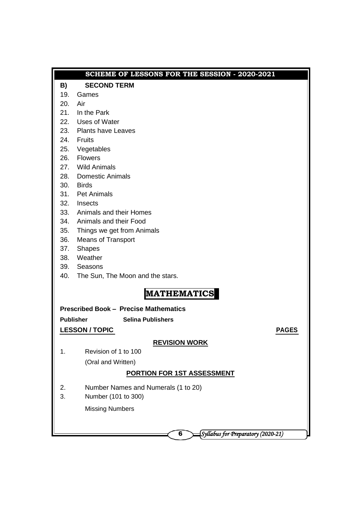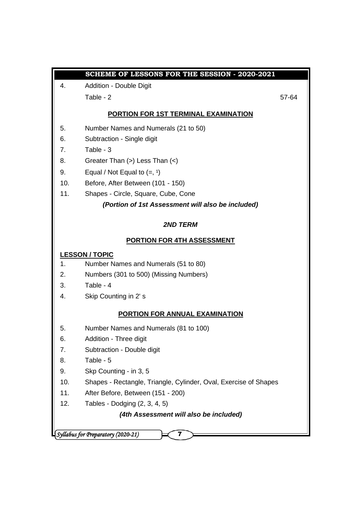|     | SCHEME OF LESSONS FOR THE SESSION - 2020-2021                    |  |
|-----|------------------------------------------------------------------|--|
| 4.  | Addition - Double Digit                                          |  |
|     | Table - 2<br>57-64                                               |  |
|     | <b>PORTION FOR 1ST TERMINAL EXAMINATION</b>                      |  |
| 5.  | Number Names and Numerals (21 to 50)                             |  |
| 6.  | Subtraction - Single digit                                       |  |
| 7.  | Table - 3                                                        |  |
| 8.  | Greater Than (>) Less Than (<)                                   |  |
| 9.  | Equal / Not Equal to $(=, 1)$                                    |  |
| 10. | Before, After Between (101 - 150)                                |  |
| 11. | Shapes - Circle, Square, Cube, Cone                              |  |
|     | (Portion of 1st Assessment will also be included)                |  |
|     | <b>2ND TERM</b>                                                  |  |
|     | <b>PORTION FOR 4TH ASSESSMENT</b>                                |  |
|     | <b>LESSON / TOPIC</b>                                            |  |
| 1.  | Number Names and Numerals (51 to 80)                             |  |
| 2.  | Numbers (301 to 500) (Missing Numbers)                           |  |
| 3.  | Table - 4                                                        |  |
| 4.  | Skip Counting in 2's                                             |  |
|     | <b>PORTION FOR ANNUAL EXAMINATION</b>                            |  |
| 5.  | Number Names and Numerals (81 to 100)                            |  |
| 6.  | Addition - Three digit                                           |  |
| 7.  | Subtraction - Double digit                                       |  |
| 8.  | Table - 5                                                        |  |
| 9.  | Skp Counting - in 3, 5                                           |  |
| 10. | Shapes - Rectangle, Triangle, Cylinder, Oval, Exercise of Shapes |  |
| 11. | After Before, Between (151 - 200)                                |  |
| 12. | Tables - Dodging (2, 3, 4, 5)                                    |  |
|     | (4th Assessment will also be included)                           |  |
|     | Syllabus for Preparatory (2020-21)                               |  |
|     | 7                                                                |  |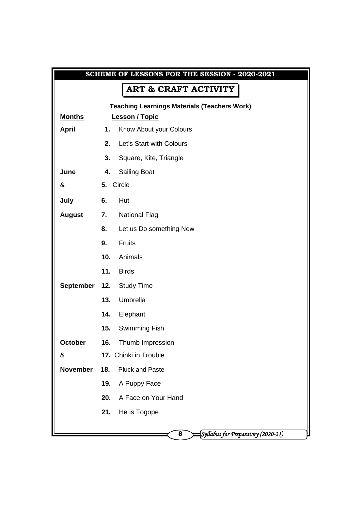|                 |     | SCHEME OF LESSONS FOR THE SESSION - 2020-2021       |
|-----------------|-----|-----------------------------------------------------|
|                 |     | <b>ART &amp; CRAFT ACTIVITY</b>                     |
|                 |     | <b>Teaching Learnings Materials (Teachers Work)</b> |
| <b>Months</b>   |     | <b>Lesson / Topic</b>                               |
| <b>April</b>    | 1.  | Know About your Colours                             |
|                 | 2.  | Let's Start with Colours                            |
|                 | 3.  | Square, Kite, Triangle                              |
| June            | 4.  | <b>Sailing Boat</b>                                 |
| &               |     | 5. Circle                                           |
| July            | 6.  | Hut                                                 |
| <b>August</b>   | 7.  | <b>National Flag</b>                                |
|                 | 8.  | Let us Do something New                             |
|                 | 9.  | <b>Fruits</b>                                       |
|                 | 10. | Animals                                             |
|                 | 11. | <b>Birds</b>                                        |
| September       | 12. | <b>Study Time</b>                                   |
|                 | 13. | Umbrella                                            |
|                 | 14. | Elephant                                            |
|                 | 15. | Swimming Fish                                       |
| October         | 16. | Thumb Impression                                    |
| &               |     | 17. Chinki in Trouble                               |
| <b>November</b> | 18. | <b>Pluck and Paste</b>                              |
|                 | 19. | A Puppy Face                                        |
|                 | 20. | A Face on Your Hand                                 |
|                 | 21. | He is Togope                                        |
|                 |     |                                                     |
|                 |     | Syllabus for Preparatory (2020-21)<br>8             |